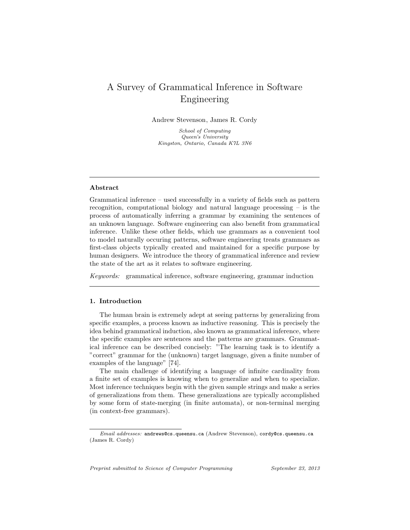# A Survey of Grammatical Inference in Software Engineering

Andrew Stevenson, James R. Cordy

*School of Computing Queen's University Kingston, Ontario, Canada K7L 3N6*

## Abstract

Grammatical inference – used successfully in a variety of fields such as pattern recognition, computational biology and natural language processing – is the process of automatically inferring a grammar by examining the sentences of an unknown language. Software engineering can also benefit from grammatical inference. Unlike these other fields, which use grammars as a convenient tool to model naturally occuring patterns, software engineering treats grammars as first-class objects typically created and maintained for a specific purpose by human designers. We introduce the theory of grammatical inference and review the state of the art as it relates to software engineering.

*Keywords:* grammatical inference, software engineering, grammar induction

## 1. Introduction

The human brain is extremely adept at seeing patterns by generalizing from specific examples, a process known as inductive reasoning. This is precisely the idea behind grammatical induction, also known as grammatical inference, where the specific examples are sentences and the patterns are grammars. Grammatical inference can be described concisely: "The learning task is to identify a "correct" grammar for the (unknown) target language, given a finite number of examples of the language" [74].

The main challenge of identifying a language of infinite cardinality from a finite set of examples is knowing when to generalize and when to specialize. Most inference techniques begin with the given sample strings and make a series of generalizations from them. These generalizations are typically accomplished by some form of state-merging (in finite automata), or non-terminal merging (in context-free grammars).

*Preprint submitted to Science of Computer Programming September 23, 2013*

*Email addresses:* andrews@cs.queensu.ca (Andrew Stevenson), cordy@cs.queensu.ca (James R. Cordy)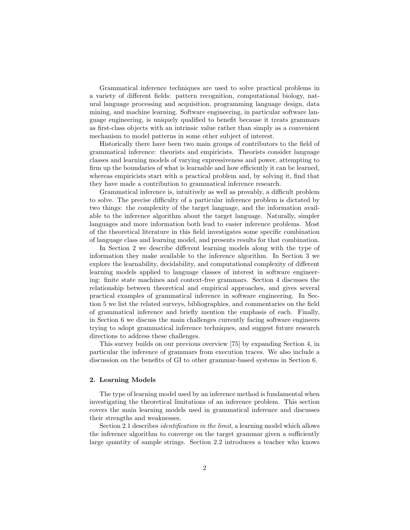Grammatical inference techniques are used to solve practical problems in a variety of different fields: pattern recognition, computational biology, natural language processing and acquisition, programming language design, data mining, and machine learning. Software engineering, in particular software language engineering, is uniquely qualified to benefit because it treats grammars as first-class objects with an intrinsic value rather than simply as a convenient mechanism to model patterns in some other subject of interest.

Historically there have been two main groups of contributors to the field of grammatical inference: theorists and empiricists. Theorists consider language classes and learning models of varying expressiveness and power, attempting to firm up the boundaries of what is learnable and how efficiently it can be learned, whereas empiricists start with a practical problem and, by solving it, find that they have made a contribution to grammatical inference research.

Grammatical inference is, intuitively as well as provably, a difficult problem to solve. The precise difficulty of a particular inference problem is dictated by two things: the complexity of the target language, and the information available to the inference algorithm about the target language. Naturally, simpler languages and more information both lead to easier inference problems. Most of the theoretical literature in this field investigates some specific combination of language class and learning model, and presents results for that combination.

In Section 2 we describe different learning models along with the type of information they make available to the inference algorithm. In Section 3 we explore the learnability, decidability, and computational complexity of different learning models applied to language classes of interest in software engineering: finite state machines and context-free grammars. Section 4 discusses the relationship between theoretical and empirical approaches, and gives several practical examples of grammatical inference in software engineering. In Section 5 we list the related surveys, bibliographies, and commentaries on the field of grammatical inference and briefly mention the emphasis of each. Finally, in Section 6 we discuss the main challenges currently facing software engineers trying to adopt grammatical inference techniques, and suggest future research directions to address these challenges.

This survey builds on our previous overview [75] by expanding Section 4, in particular the inference of grammars from execution traces. We also include a discussion on the benefits of GI to other grammar-based systems in Section 6.

#### 2. Learning Models

The type of learning model used by an inference method is fundamental when investigating the theoretical limitations of an inference problem. This section covers the main learning models used in grammatical inference and discusses their strengths and weaknesses.

Section 2.1 describes *identification in the limit*, a learning model which allows the inference algorithm to converge on the target grammar given a sufficiently large quantity of sample strings. Section 2.2 introduces a teacher who knows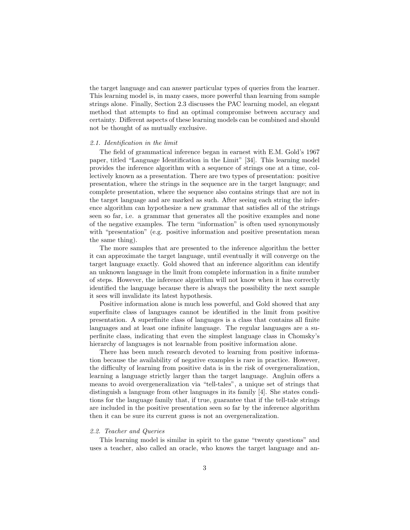the target language and can answer particular types of queries from the learner. This learning model is, in many cases, more powerful than learning from sample strings alone. Finally, Section 2.3 discusses the PAC learning model, an elegant method that attempts to find an optimal compromise between accuracy and certainty. Different aspects of these learning models can be combined and should not be thought of as mutually exclusive.

#### *2.1. Identification in the limit*

The field of grammatical inference began in earnest with E.M. Gold's 1967 paper, titled "Language Identification in the Limit" [34]. This learning model provides the inference algorithm with a sequence of strings one at a time, collectively known as a presentation. There are two types of presentation: positive presentation, where the strings in the sequence are in the target language; and complete presentation, where the sequence also contains strings that are not in the target language and are marked as such. After seeing each string the inference algorithm can hypothesize a new grammar that satisfies all of the strings seen so far, i.e. a grammar that generates all the positive examples and none of the negative examples. The term "information" is often used synonymously with "presentation" (e.g. positive information and positive presentation mean the same thing).

The more samples that are presented to the inference algorithm the better it can approximate the target language, until eventually it will converge on the target language exactly. Gold showed that an inference algorithm can identify an unknown language in the limit from complete information in a finite number of steps. However, the inference algorithm will not know when it has correctly identified the language because there is always the possibility the next sample it sees will invalidate its latest hypothesis.

Positive information alone is much less powerful, and Gold showed that any superfinite class of languages cannot be identified in the limit from positive presentation. A superfinite class of languages is a class that contains all finite languages and at least one infinite language. The regular languages are a superfinite class, indicating that even the simplest language class in Chomsky's hierarchy of languages is not learnable from positive information alone.

There has been much research devoted to learning from positive information because the availability of negative examples is rare in practice. However, the difficulty of learning from positive data is in the risk of overgeneralization, learning a language strictly larger than the target language. Angluin offers a means to avoid overgeneralization via "tell-tales", a unique set of strings that distinguish a language from other languages in its family [4]. She states conditions for the language family that, if true, guarantee that if the tell-tale strings are included in the positive presentation seen so far by the inference algorithm then it can be sure its current guess is not an overgeneralization.

### *2.2. Teacher and Queries*

This learning model is similar in spirit to the game "twenty questions" and uses a teacher, also called an oracle, who knows the target language and an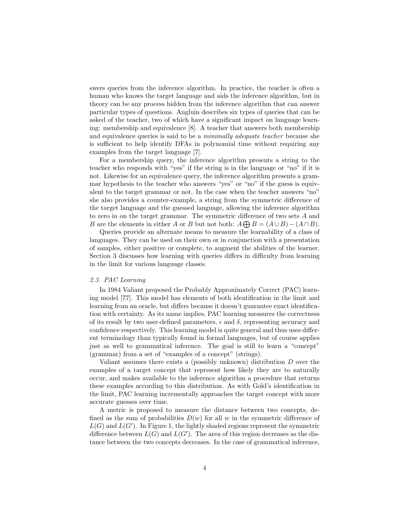swers queries from the inference algorithm. In practice, the teacher is often a human who knows the target language and aids the inference algorithm, but in theory can be any process hidden from the inference algorithm that can answer particular types of questions. Angluin describes six types of queries that can be asked of the teacher, two of which have a significant impact on language learning: membership and equivalence [8]. A teacher that answers both membership and equivalence queries is said to be a *minimally adequate teacher* because she is sufficient to help identify DFAs in polynomial time without requiring any examples from the target language [7].

For a membership query, the inference algorithm presents a string to the teacher who responds with "yes" if the string is in the language or "no" if it is not. Likewise for an equivalence query, the inference algorithm presents a grammar hypothesis to the teacher who answers "yes" or "no" if the guess is equivalent to the target grammar or not. In the case when the teacher answers "no" she also provides a counter-example, a string from the symmetric difference of the target language and the guessed language, allowing the inference algorithm to zero in on the target grammar. The symmetric difference of two sets A and *B* are the elements in either *A* or *B* but not both:  $A \bigoplus B = (A \cup B) - (A \cap B)$ .

Queries provide an alternate means to measure the learnability of a class of languages. They can be used on their own or in conjunction with a presentation of samples, either positive or complete, to augment the abilities of the learner. Section 3 discusses how learning with queries differs in difficulty from learning in the limit for various language classes.

#### *2.3. PAC Learning*

In 1984 Valiant proposed the Probably Approximately Correct (PAC) learning model [77]. This model has elements of both identification in the limit and learning from an oracle, but differs because it doesn't guarantee exact identification with certainty. As its name implies, PAC learning measures the correctness of its result by two user-defined parameters,  $\epsilon$  and  $\delta$ , representing accuracy and confidence respectively. This learning model is quite general and thus uses different terminology than typically found in formal languages, but of course applies just as well to grammatical inference. The goal is still to learn a "concept" (grammar) from a set of "examples of a concept" (strings).

Valiant assumes there exists a (possibly unknown) distribution *D* over the examples of a target concept that represent how likely they are to naturally occur, and makes available to the inference algorithm a procedure that returns these examples according to this distribution. As with Gold's identification in the limit, PAC learning incrementally approaches the target concept with more accurate guesses over time.

A metric is proposed to measure the distance between two concepts, defined as the sum of probabilities  $D(w)$  for all w in the symmetric difference of  $L(G)$  and  $L(G')$ . In Figure 1, the lightly shaded regions represent the symmetric difference between  $L(G)$  and  $L(G')$ . The area of this region decreases as the distance between the two concepts decreases. In the case of grammatical inference,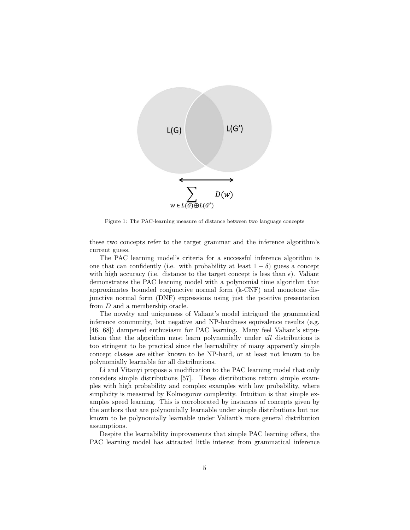

Figure 1: The PAC-learning measure of distance between two language concepts

these two concepts refer to the target grammar and the inference algorithm's current guess.

The PAC learning model's criteria for a successful inference algorithm is one that can confidently (i.e. with probability at least  $1 - \delta$ ) guess a concept with high accuracy (i.e. distance to the target concept is less than  $\epsilon$ ). Valiant demonstrates the PAC learning model with a polynomial time algorithm that approximates bounded conjunctive normal form (k-CNF) and monotone disjunctive normal form (DNF) expressions using just the positive presentation from *D* and a membership oracle.

The novelty and uniqueness of Valiant's model intrigued the grammatical inference community, but negative and NP-hardness equivalence results (e.g. [46, 68]) dampened enthusiasm for PAC learning. Many feel Valiant's stipulation that the algorithm must learn polynomially under *all* distributions is too stringent to be practical since the learnability of many apparently simple concept classes are either known to be NP-hard, or at least not known to be polynomially learnable for all distributions.

Li and Vitanyi propose a modification to the PAC learning model that only considers simple distributions [57]. These distributions return simple examples with high probability and complex examples with low probability, where simplicity is measured by Kolmogorov complexity. Intuition is that simple examples speed learning. This is corroborated by instances of concepts given by the authors that are polynomially learnable under simple distributions but not known to be polynomially learnable under Valiant's more general distribution assumptions.

Despite the learnability improvements that simple PAC learning offers, the PAC learning model has attracted little interest from grammatical inference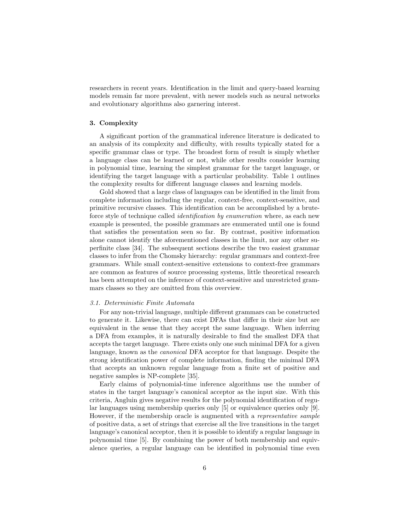researchers in recent years. Identification in the limit and query-based learning models remain far more prevalent, with newer models such as neural networks and evolutionary algorithms also garnering interest.

#### 3. Complexity

A significant portion of the grammatical inference literature is dedicated to an analysis of its complexity and difficulty, with results typically stated for a specific grammar class or type. The broadest form of result is simply whether a language class can be learned or not, while other results consider learning in polynomial time, learning the simplest grammar for the target language, or identifying the target language with a particular probability. Table 1 outlines the complexity results for different language classes and learning models.

Gold showed that a large class of languages can be identified in the limit from complete information including the regular, context-free, context-sensitive, and primitive recursive classes. This identification can be accomplished by a bruteforce style of technique called *identification by enumeration* where, as each new example is presented, the possible grammars are enumerated until one is found that satisfies the presentation seen so far. By contrast, positive information alone cannot identify the aforementioned classes in the limit, nor any other superfinite class [34]. The subsequent sections describe the two easiest grammar classes to infer from the Chomsky hierarchy: regular grammars and context-free grammars. While small context-sensitive extensions to context-free grammars are common as features of source processing systems, little theoretical research has been attempted on the inference of context-sensitive and unrestricted grammars classes so they are omitted from this overview.

#### *3.1. Deterministic Finite Automata*

For any non-trivial language, multiple different grammars can be constructed to generate it. Likewise, there can exist DFAs that differ in their size but are equivalent in the sense that they accept the same language. When inferring a DFA from examples, it is naturally desirable to find the smallest DFA that accepts the target language. There exists only one such minimal DFA for a given language, known as the *canonical* DFA acceptor for that language. Despite the strong identification power of complete information, finding the minimal DFA that accepts an unknown regular language from a finite set of positive and negative samples is NP-complete [35].

Early claims of polynomial-time inference algorithms use the number of states in the target language's canonical acceptor as the input size. With this criteria, Angluin gives negative results for the polynomial identification of regular languages using membership queries only [5] or equivalence queries only [9]. However, if the membership oracle is augmented with a *representative sample* of positive data, a set of strings that exercise all the live transitions in the target language's canonical acceptor, then it is possible to identify a regular language in polynomial time [5]. By combining the power of both membership and equivalence queries, a regular language can be identified in polynomial time even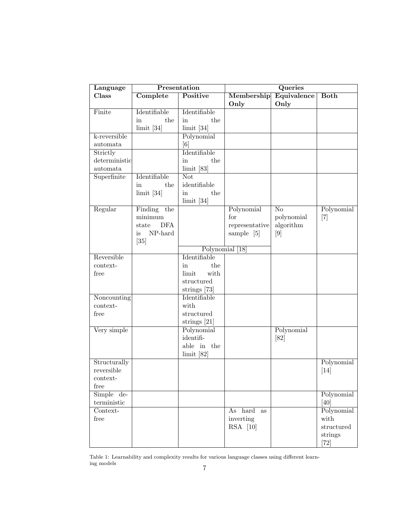| Language                  | Presentation        |                            | Queries                   |                        |                    |
|---------------------------|---------------------|----------------------------|---------------------------|------------------------|--------------------|
| Class                     | Complete            | Positive                   | Membership                | Equivalence            | <b>Both</b>        |
|                           |                     |                            | Only                      | Only                   |                    |
| Finite                    | Identifiable        | Identifiable               |                           |                        |                    |
|                           | the<br>in           | the<br>in                  |                           |                        |                    |
|                           | $\lim$ it [34]      | $\lim$ it [34]             |                           |                        |                    |
| k-reversible              |                     | Polynomial                 |                           |                        |                    |
| automata                  |                     | [6]                        |                           |                        |                    |
| Strictly                  |                     | Identifiable               |                           |                        |                    |
| deterministic             |                     | the<br>$\operatorname{in}$ |                           |                        |                    |
| automata                  |                     | $\lim$ it [83]             |                           |                        |                    |
| Superfinite               | Identifiable        | <b>Not</b>                 |                           |                        |                    |
|                           | the<br>in           | identifiable               |                           |                        |                    |
|                           | $\lim$ it [34]      | the<br>in                  |                           |                        |                    |
|                           |                     | $\lim$ it [34]             |                           |                        |                    |
| Regular                   | Finding the         |                            | Polynomial                | $\overline{\text{No}}$ | Polynomial         |
|                           | minimum             |                            | for                       | polynomial             | [7]                |
|                           | <b>DFA</b><br>state |                            | representative            | algorithm              |                    |
|                           | NP-hard<br>is       |                            | sample [5]                | $[9]$                  |                    |
|                           | [35]                |                            |                           |                        |                    |
|                           |                     | Polynomial [18]            |                           |                        |                    |
| Reversible                |                     | Identifiable               |                           |                        |                    |
| context-                  |                     | the<br>$\operatorname{in}$ |                           |                        |                    |
| free                      |                     | limit<br>with              |                           |                        |                    |
|                           |                     | structured                 |                           |                        |                    |
|                           |                     | strings [73]               |                           |                        |                    |
| Noncounting               |                     | Identifiable               |                           |                        |                    |
| context-                  |                     | with                       |                           |                        |                    |
| free                      |                     | structured                 |                           |                        |                    |
|                           |                     | strings $[21]$             |                           |                        |                    |
| Very simple               |                     | Polynomial                 |                           | Polynomial             |                    |
|                           |                     | identifi-                  |                           | [82]                   |                    |
|                           |                     | able in the                |                           |                        |                    |
|                           |                     | $\lim$ it [82]             |                           |                        |                    |
| Structurally              |                     |                            |                           |                        | Polynomial         |
| reversible                |                     |                            |                           |                        | [14]               |
| context-                  |                     |                            |                           |                        |                    |
| free                      |                     |                            |                           |                        |                    |
| Simple de-<br>terministic |                     |                            |                           |                        | Polynomial<br>[40] |
| Context-                  |                     |                            | As hard                   |                        |                    |
|                           |                     |                            | <b>as</b>                 |                        | Polynomial<br>with |
| free                      |                     |                            | inverting<br>$RSA$ $[10]$ |                        | structured         |
|                           |                     |                            |                           |                        | strings            |
|                           |                     |                            |                           |                        | $[72]$             |
|                           |                     |                            |                           |                        |                    |

Table 1: Learnability and complexity results for various language classes using different learning models 7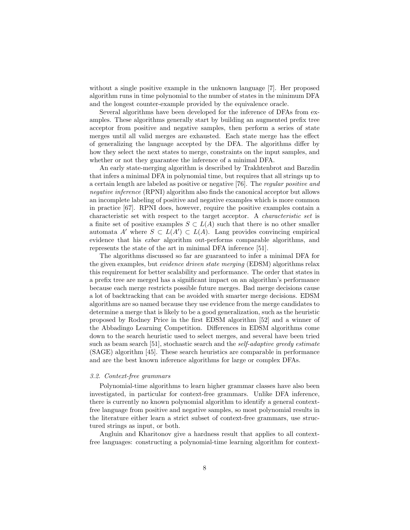without a single positive example in the unknown language [7]. Her proposed algorithm runs in time polynomial to the number of states in the minimum DFA and the longest counter-example provided by the equivalence oracle.

Several algorithms have been developed for the inference of DFAs from examples. These algorithms generally start by building an augmented prefix tree acceptor from positive and negative samples, then perform a series of state merges until all valid merges are exhausted. Each state merge has the effect of generalizing the language accepted by the DFA. The algorithms differ by how they select the next states to merge, constraints on the input samples, and whether or not they guarantee the inference of a minimal DFA.

An early state-merging algorithm is described by Trakhtenbrot and Barzdin that infers a minimal DFA in polynomial time, but requires that all strings up to a certain length are labeled as positive or negative [76]. The *regular positive and negative inference* (RPNI) algorithm also finds the canonical acceptor but allows an incomplete labeling of positive and negative examples which is more common in practice [67]. RPNI does, however, require the positive examples contain a characteristic set with respect to the target acceptor. A *characteristic set* is a finite set of positive examples  $S \subset L(A)$  such that there is no other smaller automata  $A'$  where  $S \subset L(A') \subset L(A)$ . Lang provides convincing empirical evidence that his *exbar* algorithm out-performs comparable algorithms, and represents the state of the art in minimal DFA inference [51].

The algorithms discussed so far are guaranteed to infer a minimal DFA for the given examples, but *evidence driven state merging* (EDSM) algorithms relax this requirement for better scalability and performance. The order that states in a prefix tree are merged has a significant impact on an algorithm's performance because each merge restricts possible future merges. Bad merge decisions cause a lot of backtracking that can be avoided with smarter merge decisions. EDSM algorithms are so named because they use evidence from the merge candidates to determine a merge that is likely to be a good generalization, such as the heuristic proposed by Rodney Price in the first EDSM algorithm [52] and a winner of the Abbadingo Learning Competition. Differences in EDSM algorithms come down to the search heuristic used to select merges, and several have been tried such as beam search [51], stochastic search and the *self-adaptive greedy estimate* (SAGE) algorithm [45]. These search heuristics are comparable in performance and are the best known inference algorithms for large or complex DFAs.

#### *3.2. Context-free grammars*

Polynomial-time algorithms to learn higher grammar classes have also been investigated, in particular for context-free grammars. Unlike DFA inference, there is currently no known polynomial algorithm to identify a general contextfree language from positive and negative samples, so most polynomial results in the literature either learn a strict subset of context-free grammars, use structured strings as input, or both.

Angluin and Kharitonov give a hardness result that applies to all contextfree languages: constructing a polynomial-time learning algorithm for context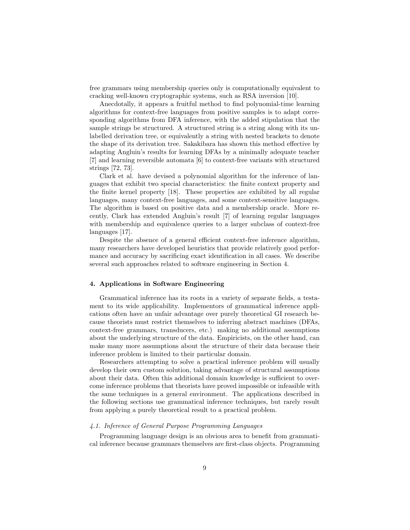free grammars using membership queries only is computationally equivalent to cracking well-known cryptographic systems, such as RSA inversion [10].

Anecdotally, it appears a fruitful method to find polynomial-time learning algorithms for context-free languages from positive samples is to adapt corresponding algorithms from DFA inference, with the added stipulation that the sample strings be structured. A structured string is a string along with its unlabelled derivation tree, or equivalently a string with nested brackets to denote the shape of its derivation tree. Sakakibara has shown this method effective by adapting Angluin's results for learning DFAs by a minimally adequate teacher [7] and learning reversible automata [6] to context-free variants with structured strings [72, 73].

Clark et al. have devised a polynomial algorithm for the inference of languages that exhibit two special characteristics: the finite context property and the finite kernel property [18]. These properties are exhibited by all regular languages, many context-free languages, and some context-sensitive languages. The algorithm is based on positive data and a membership oracle. More recently, Clark has extended Angluin's result [7] of learning regular languages with membership and equivalence queries to a larger subclass of context-free languages [17].

Despite the absence of a general efficient context-free inference algorithm, many researchers have developed heuristics that provide relatively good performance and accuracy by sacrificing exact identification in all cases. We describe several such approaches related to software engineering in Section 4.

#### 4. Applications in Software Engineering

Grammatical inference has its roots in a variety of separate fields, a testament to its wide applicability. Implementors of grammatical inference applications often have an unfair advantage over purely theoretical GI research because theorists must restrict themselves to inferring abstract machines (DFAs, context-free grammars, transducers, etc.) making no additional assumptions about the underlying structure of the data. Empiricists, on the other hand, can make many more assumptions about the structure of their data because their inference problem is limited to their particular domain.

Researchers attempting to solve a practical inference problem will usually develop their own custom solution, taking advantage of structural assumptions about their data. Often this additional domain knowledge is sufficient to overcome inference problems that theorists have proved impossible or infeasible with the same techniques in a general environment. The applications described in the following sections use grammatical inference techniques, but rarely result from applying a purely theoretical result to a practical problem.

#### *4.1. Inference of General Purpose Programming Languages*

Programming language design is an obvious area to benefit from grammatical inference because grammars themselves are first-class objects. Programming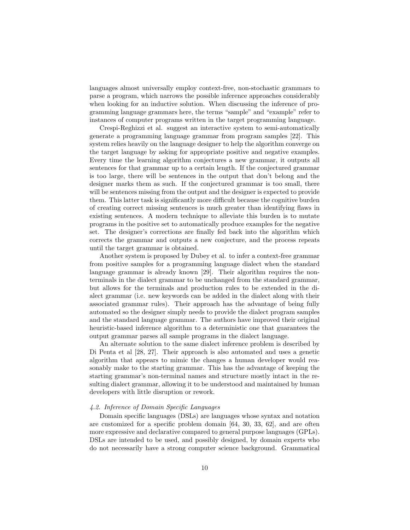languages almost universally employ context-free, non-stochastic grammars to parse a program, which narrows the possible inference approaches considerably when looking for an inductive solution. When discussing the inference of programming language grammars here, the terms "sample" and "example" refer to instances of computer programs written in the target programming language.

Crespi-Reghizzi et al. suggest an interactive system to semi-automatically generate a programming language grammar from program samples [22]. This system relies heavily on the language designer to help the algorithm converge on the target language by asking for appropriate positive and negative examples. Every time the learning algorithm conjectures a new grammar, it outputs all sentences for that grammar up to a certain length. If the conjectured grammar is too large, there will be sentences in the output that don't belong and the designer marks them as such. If the conjectured grammar is too small, there will be sentences missing from the output and the designer is expected to provide them. This latter task is significantly more difficult because the cognitive burden of creating correct missing sentences is much greater than identifying flaws in existing sentences. A modern technique to alleviate this burden is to mutate programs in the positive set to automatically produce examples for the negative set. The designer's corrections are finally fed back into the algorithm which corrects the grammar and outputs a new conjecture, and the process repeats until the target grammar is obtained.

Another system is proposed by Dubey et al. to infer a context-free grammar from positive samples for a programming language dialect when the standard language grammar is already known [29]. Their algorithm requires the nonterminals in the dialect grammar to be unchanged from the standard grammar, but allows for the terminals and production rules to be extended in the dialect grammar (i.e. new keywords can be added in the dialect along with their associated grammar rules). Their approach has the advantage of being fully automated so the designer simply needs to provide the dialect program samples and the standard language grammar. The authors have improved their original heuristic-based inference algorithm to a deterministic one that guarantees the output grammar parses all sample programs in the dialect language.

An alternate solution to the same dialect inference problem is described by Di Penta et al [28, 27]. Their approach is also automated and uses a genetic algorithm that appears to mimic the changes a human developer would reasonably make to the starting grammar. This has the advantage of keeping the starting grammar's non-terminal names and structure mostly intact in the resulting dialect grammar, allowing it to be understood and maintained by human developers with little disruption or rework.

#### *4.2. Inference of Domain Specific Languages*

Domain specific languages (DSLs) are languages whose syntax and notation are customized for a specific problem domain [64, 30, 33, 62], and are often more expressive and declarative compared to general purpose languages (GPLs). DSLs are intended to be used, and possibly designed, by domain experts who do not necessarily have a strong computer science background. Grammatical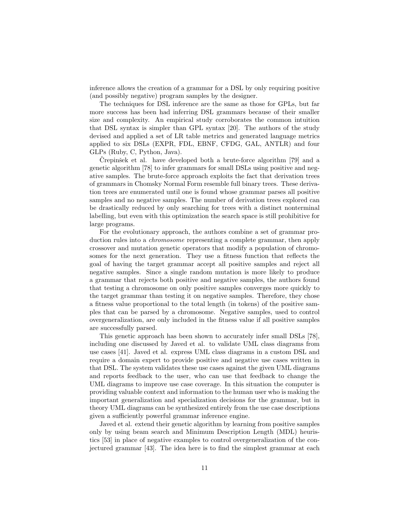inference allows the creation of a grammar for a DSL by only requiring positive (and possibly negative) program samples by the designer.

The techniques for DSL inference are the same as those for GPLs, but far more success has been had inferring DSL grammars because of their smaller size and complexity. An empirical study corroborates the common intuition that DSL syntax is simpler than GPL syntax [20]. The authors of the study devised and applied a set of LR table metrics and generated language metrics applied to six DSLs (EXPR, FDL, EBNF, CFDG, GAL, ANTLR) and four GLPs (Ruby, C, Python, Java).

Crepinšek et al. have developed both a brute-force algorithm  $[79]$  and a genetic algorithm [78] to infer grammars for small DSLs using positive and negative samples. The brute-force approach exploits the fact that derivation trees of grammars in Chomsky Normal Form resemble full binary trees. These derivation trees are enumerated until one is found whose grammar parses all positive samples and no negative samples. The number of derivation trees explored can be drastically reduced by only searching for trees with a distinct nonterminal labelling, but even with this optimization the search space is still prohibitive for large programs.

For the evolutionary approach, the authors combine a set of grammar production rules into a *chromosome* representing a complete grammar, then apply crossover and mutation genetic operators that modify a population of chromosomes for the next generation. They use a fitness function that reflects the goal of having the target grammar accept all positive samples and reject all negative samples. Since a single random mutation is more likely to produce a grammar that rejects both positive and negative samples, the authors found that testing a chromosome on only positive samples converges more quickly to the target grammar than testing it on negative samples. Therefore, they chose a fitness value proportional to the total length (in tokens) of the positive samples that can be parsed by a chromosome. Negative samples, used to control overgeneralization, are only included in the fitness value if all positive samples are successfully parsed.

This genetic approach has been shown to accurately infer small DSLs [78], including one discussed by Javed et al. to validate UML class diagrams from use cases [41]. Javed et al. express UML class diagrams in a custom DSL and require a domain expert to provide positive and negative use cases written in that DSL. The system validates these use cases against the given UML diagrams and reports feedback to the user, who can use that feedback to change the UML diagrams to improve use case coverage. In this situation the computer is providing valuable context and information to the human user who is making the important generalization and specialization decisions for the grammar, but in theory UML diagrams can be synthesized entirely from the use case descriptions given a sufficiently powerful grammar inference engine.

Javed et al. extend their genetic algorithm by learning from positive samples only by using beam search and Minimum Description Length (MDL) heuristics [53] in place of negative examples to control overgeneralization of the conjectured grammar [43]. The idea here is to find the simplest grammar at each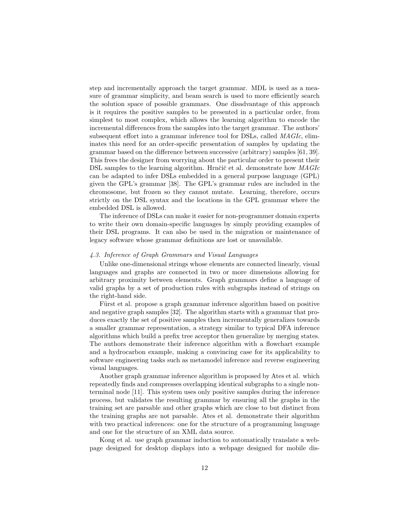step and incrementally approach the target grammar. MDL is used as a measure of grammar simplicity, and beam search is used to more efficiently search the solution space of possible grammars. One disadvantage of this approach is it requires the positive samples to be presented in a particular order, from simplest to most complex, which allows the learning algorithm to encode the incremental differences from the samples into the target grammar. The authors' subsequent effort into a grammar inference tool for DSLs, called *MAGIc*, eliminates this need for an order-specific presentation of samples by updating the grammar based on the difference between successive (arbitrary) samples  $[61, 39]$ . This frees the designer from worrying about the particular order to present their DSL samples to the learning algorithm. Hrnčič et al. demonstrate how *MAGIc* can be adapted to infer DSLs embedded in a general purpose language (GPL) given the GPL's grammar [38]. The GPL's grammar rules are included in the chromosome, but frozen so they cannot mutate. Learning, therefore, occurs strictly on the DSL syntax and the locations in the GPL grammar where the embedded DSL is allowed.

The inference of DSLs can make it easier for non-programmer domain experts to write their own domain-specific languages by simply providing examples of their DSL programs. It can also be used in the migration or maintenance of legacy software whose grammar definitions are lost or unavailable.

#### *4.3. Inference of Graph Grammars and Visual Languages*

Unlike one-dimensional strings whose elements are connected linearly, visual languages and graphs are connected in two or more dimensions allowing for arbitrary proximity between elements. Graph grammars define a language of valid graphs by a set of production rules with subgraphs instead of strings on the right-hand side.

Fürst et al. propose a graph grammar inference algorithm based on positive and negative graph samples [32]. The algorithm starts with a grammar that produces exactly the set of positive samples then incrementally generalizes towards a smaller grammar representation, a strategy similar to typical DFA inference algorithms which build a prefix tree acceptor then generalize by merging states. The authors demonstrate their inference algorithm with a flowchart example and a hydrocarbon example, making a convincing case for its applicability to software engineering tasks such as metamodel inference and reverse engineering visual languages.

Another graph grammar inference algorithm is proposed by Ates et al. which repeatedly finds and compresses overlapping identical subgraphs to a single nonterminal node [11]. This system uses only positive samples during the inference process, but validates the resulting grammar by ensuring all the graphs in the training set are parsable and other graphs which are close to but distinct from the training graphs are not parsable. Ates et al. demonstrate their algorithm with two practical inferences: one for the structure of a programming language and one for the structure of an XML data source.

Kong et al. use graph grammar induction to automatically translate a webpage designed for desktop displays into a webpage designed for mobile dis-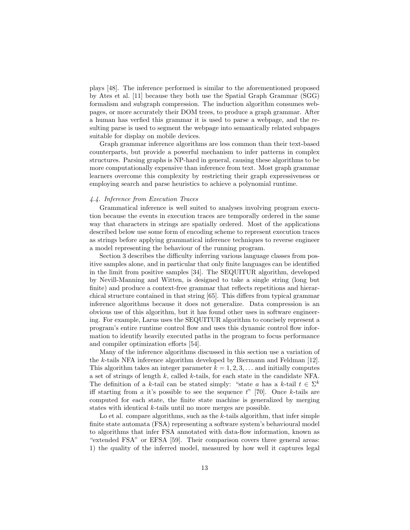plays [48]. The inference performed is similar to the aforementioned proposed by Ates et al. [11] because they both use the Spatial Graph Grammar (SGG) formalism and subgraph compression. The induction algorithm consumes webpages, or more accurately their DOM trees, to produce a graph grammar. After a human has verfied this grammar it is used to parse a webpage, and the resulting parse is used to segment the webpage into semantically related subpages suitable for display on mobile devices.

Graph grammar inference algorithms are less common than their text-based counterparts, but provide a powerful mechanism to infer patterns in complex structures. Parsing graphs is NP-hard in general, causing these algorithms to be more computationally expensive than inference from text. Most graph grammar learners overcome this complexity by restricting their graph expressiveness or employing search and parse heuristics to achieve a polynomial runtime.

# *4.4. Inference from Execution Traces*

Grammatical inference is well suited to analyses involving program execution because the events in execution traces are temporally ordered in the same way that characters in strings are spatially ordered. Most of the applications described below use some form of encoding scheme to represent execution traces as strings before applying grammatical inference techniques to reverse engineer a model representing the behaviour of the running program.

Section 3 describes the difficulty inferring various language classes from positive samples alone, and in particular that only finite languages can be identified in the limit from positive samples [34]. The SEQUITUR algorithm, developed by Nevill-Manning and Witten, is designed to take a single string (long but finite) and produce a context-free grammar that reflects repetitions and hierarchical structure contained in that string [65]. This differs from typical grammar inference algorithms because it does not generalize. Data compression is an obvious use of this algorithm, but it has found other uses in software engineering. For example, Larus uses the SEQUITUR algorithm to concisely represent a program's entire runtime control flow and uses this dynamic control flow information to identify heavily executed paths in the program to focus performance and compiler optimization efforts [54].

Many of the inference algorithms discussed in this section use a variation of the *k*-tails NFA inference algorithm developed by Biermann and Feldman [12]. This algorithm takes an integer parameter  $k = 1, 2, 3, \ldots$  and initially computes a set of strings of length *k*, called *k*-tails, for each state in the candidate NFA. The definition of a *k*-tail can be stated simply: "state *a* has a *k*-tail  $t \in \Sigma^k$ iff starting from  $\alpha$  it's possible to see the sequence  $t^{\prime\prime}$  [70]. Once  $k$ -tails are computed for each state, the finite state machine is generalized by merging states with identical *k*-tails until no more merges are possible.

Lo et al. compare algorithms, such as the *k*-tails algorithm, that infer simple finite state automata (FSA) representing a software system's behavioural model to algorithms that infer FSA annotated with data-flow information, known as "extended FSA" or EFSA [59]. Their comparison covers three general areas: 1) the quality of the inferred model, measured by how well it captures legal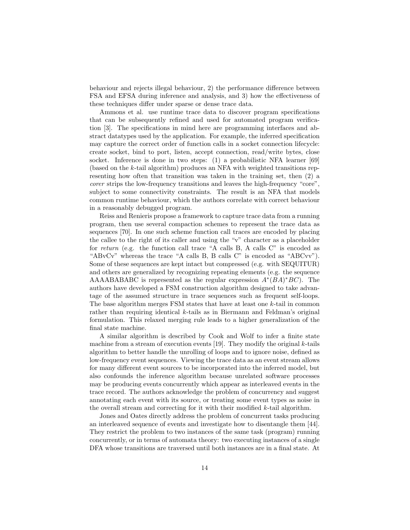behaviour and rejects illegal behaviour, 2) the performance difference between FSA and EFSA during inference and analysis, and 3) how the effectiveness of these techniques differ under sparse or dense trace data.

Ammons et al. use runtime trace data to discover program specifications that can be subsequently refined and used for automated program verification [3]. The specifications in mind here are programming interfaces and abstract datatypes used by the application. For example, the inferred specification may capture the correct order of function calls in a socket connection lifecycle: create socket, bind to port, listen, accept connection, read/write bytes, close socket. Inference is done in two steps: (1) a probabilistic NFA learner [69] (based on the *k*-tail algorithm) produces an NFA with weighted transitions representing how often that transition was taken in the training set, then (2) a *corer* strips the low-frequency transitions and leaves the high-frequency "core", subject to some connectivity constraints. The result is an NFA that models common runtime behaviour, which the authors correlate with correct behaviour in a reasonably debugged program.

Reiss and Renieris propose a framework to capture trace data from a running program, then use several compaction schemes to represent the trace data as sequences [70]. In one such scheme function call traces are encoded by placing the callee to the right of its caller and using the "v" character as a placeholder for *return* (e.g. the function call trace "A calls B, A calls C" is encoded as "ABvCv" whereas the trace "A calls B, B calls C" is encoded as "ABCvv"). Some of these sequences are kept intact but compressed (e.g. with SEQUITUR) and others are generalized by recognizing repeating elements (e.g. the sequence AAAABABABC is represented as the regular expression  $A^*(BA)^*BC$ . The authors have developed a FSM construction algorithm designed to take advantage of the assumed structure in trace sequences such as frequent self-loops. The base algorithm merges FSM states that have at least one *k*-tail in common rather than requiring identical *k*-tails as in Biermann and Feldman's original formulation. This relaxed merging rule leads to a higher generalization of the final state machine.

A similar algorithm is described by Cook and Wolf to infer a finite state machine from a stream of execution events [19]. They modify the original *k*-tails algorithm to better handle the unrolling of loops and to ignore noise, defined as low-frequency event sequences. Viewing the trace data as an event stream allows for many different event sources to be incorporated into the inferred model, but also confounds the inference algorithm because unrelated software processes may be producing events concurrently which appear as interleaved events in the trace record. The authors acknowledge the problem of concurrency and suggest annotating each event with its source, or treating some event types as noise in the overall stream and correcting for it with their modified *k*-tail algorithm.

Jones and Oates directly address the problem of concurrent tasks producing an interleaved sequence of events and investigate how to disentangle them [44]. They restrict the problem to two instances of the same task (program) running concurrently, or in terms of automata theory: two executing instances of a single DFA whose transitions are traversed until both instances are in a final state. At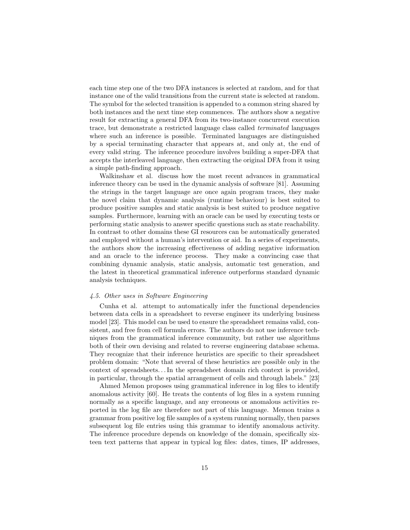each time step one of the two DFA instances is selected at random, and for that instance one of the valid transitions from the current state is selected at random. The symbol for the selected transition is appended to a common string shared by both instances and the next time step commences. The authors show a negative result for extracting a general DFA from its two-instance concurrent execution trace, but demonstrate a restricted language class called *terminated* languages where such an inference is possible. Terminated languages are distinguished by a special terminating character that appears at, and only at, the end of every valid string. The inference procedure involves building a super-DFA that accepts the interleaved language, then extracting the original DFA from it using a simple path-finding approach.

Walkinshaw et al. discuss how the most recent advances in grammatical inference theory can be used in the dynamic analysis of software [81]. Assuming the strings in the target language are once again program traces, they make the novel claim that dynamic analysis (runtime behaviour) is best suited to produce positive samples and static analysis is best suited to produce negative samples. Furthermore, learning with an oracle can be used by executing tests or performing static analysis to answer specific questions such as state reachability. In contrast to other domains these GI resources can be automatically generated and employed without a human's intervention or aid. In a series of experiments, the authors show the increasing effectiveness of adding negative information and an oracle to the inference process. They make a convincing case that combining dynamic analysis, static analysis, automatic test generation, and the latest in theoretical grammatical inference outperforms standard dynamic analysis techniques.

# *4.5. Other uses in Software Engineering*

Cunha et al. attempt to automatically infer the functional dependencies between data cells in a spreadsheet to reverse engineer its underlying business model [23]. This model can be used to ensure the spreadsheet remains valid, consistent, and free from cell formula errors. The authors do not use inference techniques from the grammatical inference community, but rather use algorithms both of their own devising and related to reverse engineering database schema. They recognize that their inference heuristics are specific to their spreadsheet problem domain: "Note that several of these heuristics are possible only in the context of spreadsheets. . . In the spreadsheet domain rich context is provided, in particular, through the spatial arrangement of cells and through labels." [23]

Ahmed Memon proposes using grammatical inference in log files to identify anomalous activity [60]. He treats the contents of log files in a system running normally as a specific language, and any erroneous or anomalous activities reported in the log file are therefore not part of this language. Memon trains a grammar from positive log file samples of a system running normally, then parses subsequent log file entries using this grammar to identify anomalous activity. The inference procedure depends on knowledge of the domain, specifically sixteen text patterns that appear in typical log files: dates, times, IP addresses,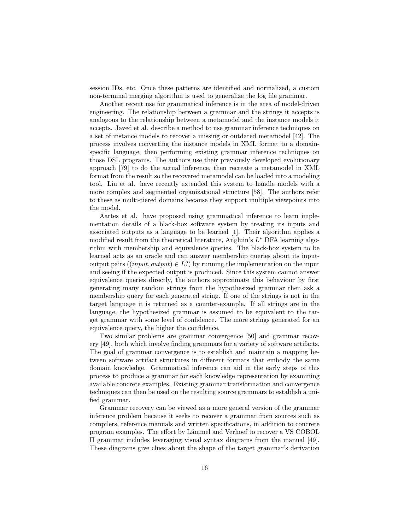session IDs, etc. Once these patterns are identified and normalized, a custom non-terminal merging algorithm is used to generalize the log file grammar.

Another recent use for grammatical inference is in the area of model-driven engineering. The relationship between a grammar and the strings it accepts is analogous to the relationship between a metamodel and the instance models it accepts. Javed et al. describe a method to use grammar inference techniques on a set of instance models to recover a missing or outdated metamodel [42]. The process involves converting the instance models in XML format to a domainspecific language, then performing existing grammar inference techniques on those DSL programs. The authors use their previously developed evolutionary approach [79] to do the actual inference, then recreate a metamodel in XML format from the result so the recovered metamodel can be loaded into a modeling tool. Liu et al. have recently extended this system to handle models with a more complex and segmented organizational structure [58]. The authors refer to these as multi-tiered domains because they support multiple viewpoints into the model.

Aartes et al. have proposed using grammatical inference to learn implementation details of a black-box software system by treating its inputs and associated outputs as a language to be learned [1]. Their algorithm applies a modified result from the theoretical literature, Angluin's  $L^*$  DFA learning algorithm with membership and equivalence queries. The black-box system to be learned acts as an oracle and can answer membership queries about its inputoutput pairs  $((input, output) \in L?)$  by running the implementation on the input and seeing if the expected output is produced. Since this system cannot answer equivalence queries directly, the authors approximate this behaviour by first generating many random strings from the hypothesized grammar then ask a membership query for each generated string. If one of the strings is not in the target language it is returned as a counter-example. If all strings are in the language, the hypothesized grammar is assumed to be equivalent to the target grammar with some level of confidence. The more strings generated for an equivalence query, the higher the confidence.

Two similar problems are grammar convergence [50] and grammar recovery [49], both which involve finding grammars for a variety of software artifacts. The goal of grammar convergence is to establish and maintain a mapping between software artifact structures in different formats that embody the same domain knowledge. Grammatical inference can aid in the early steps of this process to produce a grammar for each knowledge representation by examining available concrete examples. Existing grammar transformation and convergence techniques can then be used on the resulting source grammars to establish a unified grammar.

Grammar recovery can be viewed as a more general version of the grammar inference problem because it seeks to recover a grammar from sources such as compilers, reference manuals and written specifications, in addition to concrete program examples. The effort by Lämmel and Verhoef to recover a VS COBOL II grammar includes leveraging visual syntax diagrams from the manual [49]. These diagrams give clues about the shape of the target grammar's derivation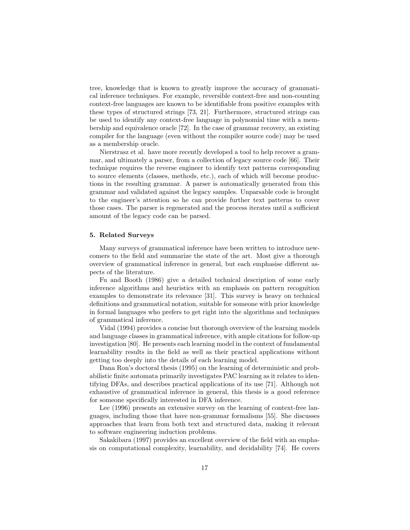tree, knowledge that is known to greatly improve the accuracy of grammatical inference techniques. For example, reversible context-free and non-counting context-free languages are known to be identifiable from positive examples with these types of structured strings [73, 21]. Furthermore, structured strings can be used to identify any context-free language in polynomial time with a membership and equivalence oracle [72]. In the case of grammar recovery, an existing compiler for the language (even without the compiler source code) may be used as a membership oracle.

Nierstrasz et al. have more recently developed a tool to help recover a grammar, and ultimately a parser, from a collection of legacy source code [66]. Their technique requires the reverse engineer to identify text patterns corresponding to source elements (classes, methods, etc.), each of which will become productions in the resulting grammar. A parser is automatically generated from this grammar and validated against the legacy samples. Unparsable code is brought to the engineer's attention so he can provide further text patterns to cover those cases. The parser is regenerated and the process iterates until a sufficient amount of the legacy code can be parsed.

#### 5. Related Surveys

Many surveys of grammatical inference have been written to introduce newcomers to the field and summarize the state of the art. Most give a thorough overview of grammatical inference in general, but each emphasise different aspects of the literature.

Fu and Booth (1986) give a detailed technical description of some early inference algorithms and heuristics with an emphasis on pattern recognition examples to demonstrate its relevance [31]. This survey is heavy on technical definitions and grammatical notation, suitable for someone with prior knowledge in formal languages who prefers to get right into the algorithms and techniques of grammatical inference.

Vidal (1994) provides a concise but thorough overview of the learning models and language classes in grammatical inference, with ample citations for follow-up investigation [80]. He presents each learning model in the context of fundamental learnability results in the field as well as their practical applications without getting too deeply into the details of each learning model.

Dana Ron's doctoral thesis (1995) on the learning of deterministic and probabilistic finite automata primarily investigates PAC learning as it relates to identifying DFAs, and describes practical applications of its use [71]. Although not exhaustive of grammatical inference in general, this thesis is a good reference for someone specifically interested in DFA inference.

Lee (1996) presents an extensive survey on the learning of context-free languages, including those that have non-grammar formalisms [55]. She discusses approaches that learn from both text and structured data, making it relevant to software engineering induction problems.

Sakakibara (1997) provides an excellent overview of the field with an emphasis on computational complexity, learnability, and decidability [74]. He covers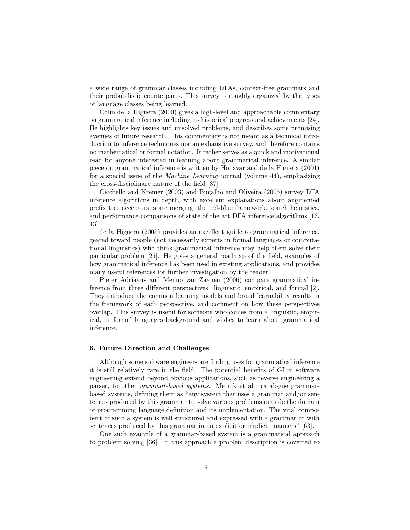a wide range of grammar classes including DFAs, context-free grammars and their probabilistic counterparts. This survey is roughly organized by the types of language classes being learned.

Colin de la Higuera (2000) gives a high-level and approachable commentary on grammatical inference including its historical progress and achievements [24]. He highlights key issues and unsolved problems, and describes some promising avenues of future research. This commentary is not meant as a technical introduction to inference techniques nor an exhaustive survey, and therefore contains no mathematical or formal notation. It rather serves as a quick and motivational read for anyone interested in learning about grammatical inference. A similar piece on grammatical inference is written by Honavar and de la Higuera (2001) for a special issue of the *Machine Learning* journal (volume 44), emphasizing the cross-disciplinary nature of the field [37].

Cicchello and Kremer (2003) and Bugalho and Oliveira (2005) survey DFA inference algorithms in depth, with excellent explanations about augmented prefix tree acceptors, state merging, the red-blue framework, search heuristics, and performance comparisons of state of the art DFA inference algorithms [16, 13].

de la Higuera (2005) provides an excellent guide to grammatical inference, geared toward people (not necessarily experts in formal languages or computational linguistics) who think grammatical inference may help them solve their particular problem [25]. He gives a general roadmap of the field, examples of how grammatical inference has been used in existing applications, and provides many useful references for further investigation by the reader.

Pieter Adriaans and Menno van Zaanen (2006) compare grammatical inference from three different perspectives: linguistic, empirical, and formal  $[2]$ . They introduce the common learning models and broad learnability results in the framework of each perspective, and comment on how these perspectives overlap. This survey is useful for someone who comes from a linguistic, empirical, or formal languages background and wishes to learn about grammatical inference.

#### 6. Future Direction and Challenges

Although some software engineers are finding uses for grammatical inference it is still relatively rare in the field. The potential benefits of GI in software engineering extend beyond obvious applications, such as reverse engineering a parser, to other *grammar-based systems*. Mernik et al. catalogue grammarbased systems, defining them as "any system that uses a grammar and/or sentences produced by this grammar to solve various problems outside the domain of programming language definition and its implementation. The vital component of such a system is well structured and expressed with a grammar or with sentences produced by this grammar in an explicit or implicit manners" [63].

One such example of a grammar-based system is a grammatical approach to problem solving [36]. In this approach a problem description is coverted to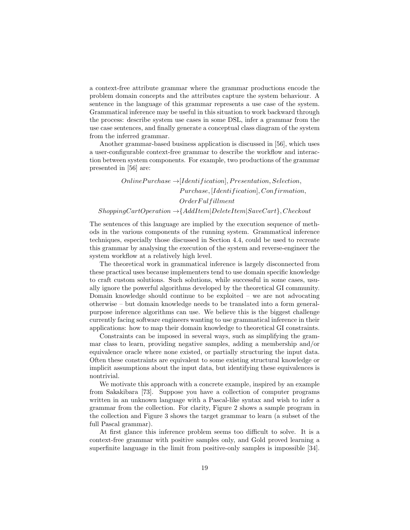a context-free attribute grammar where the grammar productions encode the problem domain concepts and the attributes capture the system behaviour. A sentence in the language of this grammar represents a use case of the system. Grammatical inference may be useful in this situation to work backward through the process: describe system use cases in some DSL, infer a grammar from the use case sentences, and finally generate a conceptual class diagram of the system from the inferred grammar.

Another grammar-based business application is discussed in [56], which uses a user-configurable context-free grammar to describe the workflow and interaction between system components. For example, two productions of the grammar presented in [56] are:

# $Online Purchase \rightarrow [Identification]$ ,  $Presentation$ ,  $Selection$ , *P urchase,* [*Identif ication*]*, Conf irmation, OrderF ulf illment*  $ShoppingCartOperation \rightarrow \{AddItem|DeleteItem|SaveCart\}$ ,  $Checkout$

The sentences of this language are implied by the execution sequence of methods in the various components of the running system. Grammatical inference techniques, especially those discussed in Section 4.4, could be used to recreate this grammar by analysing the execution of the system and reverse-engineer the system workflow at a relatively high level.

The theoretical work in grammatical inference is largely disconnected from these practical uses because implementers tend to use domain specific knowledge to craft custom solutions. Such solutions, while successful in some cases, usually ignore the powerful algorithms developed by the theoretical GI community. Domain knowledge should continue to be exploited – we are not advocating otherwise – but domain knowledge needs to be translated into a form generalpurpose inference algorithms can use. We believe this is the biggest challenge currently facing software engineers wanting to use grammatical inference in their applications: how to map their domain knowledge to theoretical GI constraints.

Constraints can be imposed in several ways, such as simplifying the grammar class to learn, providing negative samples, adding a membership and/or equivalence oracle where none existed, or partially structuring the input data. Often these constraints are equivalent to some existing structural knowledge or implicit assumptions about the input data, but identifying these equivalences is nontrivial.

We motivate this approach with a concrete example, inspired by an example from Sakakibara [73]. Suppose you have a collection of computer programs written in an unknown language with a Pascal-like syntax and wish to infer a grammar from the collection. For clarity, Figure 2 shows a sample program in the collection and Figure 3 shows the target grammar to learn (a subset of the full Pascal grammar).

At first glance this inference problem seems too difficult to solve. It is a context-free grammar with positive samples only, and Gold proved learning a superfinite language in the limit from positive-only samples is impossible [34].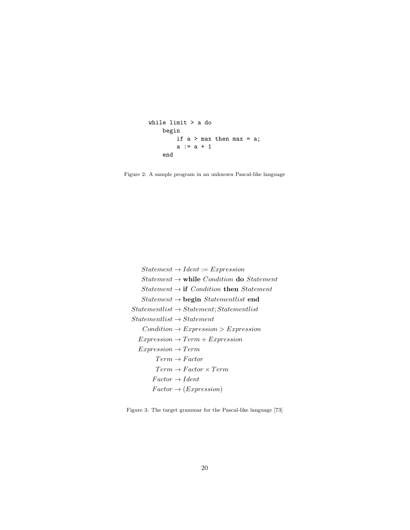```
while limit > a do
begin
     if a > max then max = a;
     a := a + 1end
```
Figure 2: A sample program in an unknown Pascal-like language

 $Statement \rightarrow Ident := Expression$ *Statement* ! while *Condition* do *Statement*  $Statement \rightarrow \textbf{if } Condition \textbf{ then } Statement$ *Statement* ! begin *Statementlist* end  $Statementlist \rightarrow Statement; Statement$  $Statementlist \rightarrow Statement$  $Condition \rightarrow Expression > Expression$  $Expression \rightarrow Term + Expression$  $Expression \rightarrow Term$  $Term \rightarrow Factor$  $Term \rightarrow Factor \times Term$  $Factor \rightarrow Ident$  $Factor \rightarrow (Expression)$ 

Figure 3: The target grammar for the Pascal-like language [73]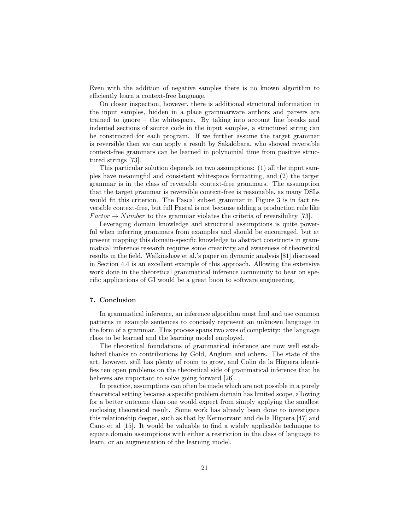Even with the addition of negative samples there is no known algorithm to efficiently learn a context-free language.

On closer inspection, however, there is additional structural information in the input samples, hidden in a place grammarware authors and parsers are trained to ignore – the whitespace. By taking into account line breaks and indented sections of source code in the input samples, a structured string can be constructed for each program. If we further assume the target grammar is reversible then we can apply a result by Sakakibara, who showed reversible context-free grammars can be learned in polynomial time from positive structured strings [73].

This particular solution depends on two assumptions: (1) all the input samples have meaningful and consistent whitespace formatting, and (2) the target grammar is in the class of reversible context-free grammars. The assumption that the target grammar is reversible context-free is reasonable, as many DSLs would fit this criterion. The Pascal subset grammar in Figure 3 is in fact reversible context-free, but full Pascal is not because adding a production rule like  $Factor \rightarrow Number$  to this grammar violates the criteria of reversibility [73].

Leveraging domain knowledge and structural assumptions is quite powerful when inferring grammars from examples and should be encouraged, but at present mapping this domain-specific knowledge to abstract constructs in grammatical inference research requires some creativity and awareness of theoretical results in the field. Walkinshaw et al.'s paper on dynamic analysis [81] discussed in Section 4.4 is an excellent example of this approach. Allowing the extensive work done in the theoretical grammatical inference community to bear on specific applications of GI would be a great boon to software engineering.

#### 7. Conclusion

In grammatical inference, an inference algorithm must find and use common patterns in example sentences to concisely represent an unknown language in the form of a grammar. This process spans two axes of complexity: the language class to be learned and the learning model employed.

The theoretical foundations of grammatical inference are now well established thanks to contributions by Gold, Angluin and others. The state of the art, however, still has plenty of room to grow, and Colin de la Higuera identifies ten open problems on the theoretical side of grammatical inference that he believes are important to solve going forward [26].

In practice, assumptions can often be made which are not possible in a purely theoretical setting because a specific problem domain has limited scope, allowing for a better outcome than one would expect from simply applying the smallest enclosing theoretical result. Some work has already been done to investigate this relationship deeper, such as that by Kermorvant and de la Higuera [47] and Cano et al [15]. It would be valuable to find a widely applicable technique to equate domain assumptions with either a restriction in the class of language to learn, or an augmentation of the learning model.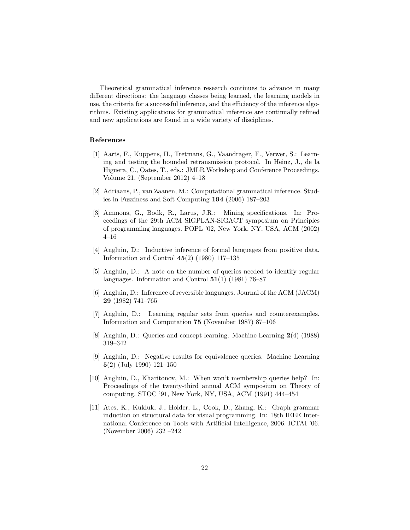Theoretical grammatical inference research continues to advance in many different directions: the language classes being learned, the learning models in use, the criteria for a successful inference, and the efficiency of the inference algorithms. Existing applications for grammatical inference are continually refined and new applications are found in a wide variety of disciplines.

#### References

- [1] Aarts, F., Kuppens, H., Tretmans, G., Vaandrager, F., Verwer, S.: Learning and testing the bounded retransmission protocol. In Heinz, J., de la Higuera, C., Oates, T., eds.: JMLR Workshop and Conference Proceedings. Volume 21. (September 2012) 4–18
- [2] Adriaans, P., van Zaanen, M.: Computational grammatical inference. Studies in Fuzziness and Soft Computing 194 (2006) 187–203
- [3] Ammons, G., Bodk, R., Larus, J.R.: Mining specifications. In: Proceedings of the 29th ACM SIGPLAN-SIGACT symposium on Principles of programming languages. POPL '02, New York, NY, USA, ACM (2002) 4–16
- [4] Angluin, D.: Inductive inference of formal languages from positive data. Information and Control 45(2) (1980) 117–135
- [5] Angluin, D.: A note on the number of queries needed to identify regular languages. Information and Control 51(1) (1981) 76–87
- [6] Angluin, D.: Inference of reversible languages. Journal of the ACM (JACM) 29 (1982) 741–765
- [7] Angluin, D.: Learning regular sets from queries and counterexamples. Information and Computation 75 (November 1987) 87–106
- [8] Angluin, D.: Queries and concept learning. Machine Learning 2(4) (1988) 319–342
- [9] Angluin, D.: Negative results for equivalence queries. Machine Learning 5(2) (July 1990) 121–150
- [10] Angluin, D., Kharitonov, M.: When won't membership queries help? In: Proceedings of the twenty-third annual ACM symposium on Theory of computing. STOC '91, New York, NY, USA, ACM (1991) 444–454
- [11] Ates, K., Kukluk, J., Holder, L., Cook, D., Zhang, K.: Graph grammar induction on structural data for visual programming. In: 18th IEEE International Conference on Tools with Artificial Intelligence, 2006. ICTAI '06. (November 2006) 232 –242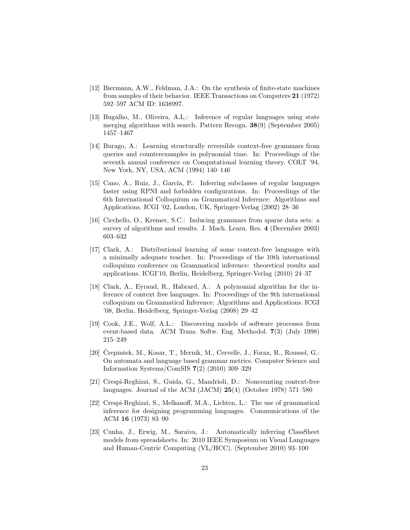- [12] Biermann, A.W., Feldman, J.A.: On the synthesis of finite-state machines from samples of their behavior. IEEE Transactions on Computers 21 (1972) 592–597 ACM ID: 1638997.
- [13] Bugalho, M., Oliveira, A.L.: Inference of regular languages using state merging algorithms with search. Pattern Recogn. 38(9) (September 2005) 1457–1467
- [14] Burago, A.: Learning structurally reversible context-free grammars from queries and counterexamples in polynomial time. In: Proceedings of the seventh annual conference on Computational learning theory. COLT '94, New York, NY, USA, ACM (1994) 140–146
- [15] Cano, A., Ruiz, J., García, P.: Inferring subclasses of regular languages faster using RPNI and forbidden configurations. In: Proceedings of the 6th International Colloquium on Grammatical Inference: Algorithms and Applications. ICGI '02, London, UK, Springer-Verlag (2002) 28–36
- [16] Cicchello, O., Kremer, S.C.: Inducing grammars from sparse data sets: a survey of algorithms and results. J. Mach. Learn. Res. 4 (December 2003) 603–632
- [17] Clark, A.: Distributional learning of some context-free languages with a minimally adequate teacher. In: Proceedings of the 10th international colloquium conference on Grammatical inference: theoretical results and applications. ICGI'10, Berlin, Heidelberg, Springer-Verlag (2010) 24–37
- [18] Clark, A., Eyraud, R., Habrard, A.: A polynomial algorithm for the inference of context free languages. In: Proceedings of the 9th international colloquium on Grammatical Inference: Algorithms and Applications. ICGI '08, Berlin, Heidelberg, Springer-Verlag (2008) 29–42
- [19] Cook, J.E., Wolf, A.L.: Discovering models of software processes from event-based data. ACM Trans. Softw. Eng. Methodol. 7(3) (July 1998) 215–249
- [20] Črepinšek, M., Kosar, T., Mernik, M., Cervelle, J., Forax, R., Roussel, G.: On automata and language based grammar metrics. Computer Science and Information Systems/ComSIS 7(2) (2010) 309–329
- [21] Crespi-Reghizzi, S., Guida, G., Mandrioli, D.: Noncounting context-free languages. Journal of the ACM (JACM) 25(4) (October 1978) 571–580
- [22] Crespi-Reghizzi, S., Melkanoff, M.A., Lichten, L.: The use of grammatical inference for designing programming languages. Communications of the ACM 16 (1973) 83–90
- [23] Cunha, J., Erwig, M., Saraiva, J.: Automatically inferring ClassSheet models from spreadsheets. In: 2010 IEEE Symposium on Visual Languages and Human-Centric Computing (VL/HCC). (September 2010) 93–100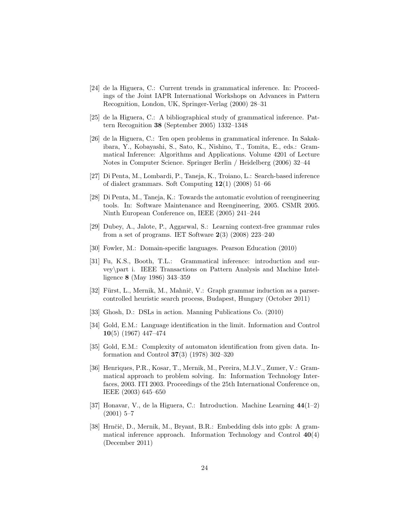- [24] de la Higuera, C.: Current trends in grammatical inference. In: Proceedings of the Joint IAPR International Workshops on Advances in Pattern Recognition, London, UK, Springer-Verlag (2000) 28–31
- [25] de la Higuera, C.: A bibliographical study of grammatical inference. Pattern Recognition 38 (September 2005) 1332–1348
- [26] de la Higuera, C.: Ten open problems in grammatical inference. In Sakakibara, Y., Kobayashi, S., Sato, K., Nishino, T., Tomita, E., eds.: Grammatical Inference: Algorithms and Applications. Volume 4201 of Lecture Notes in Computer Science. Springer Berlin / Heidelberg (2006) 32–44
- [27] Di Penta, M., Lombardi, P., Taneja, K., Troiano, L.: Search-based inference of dialect grammars. Soft Computing 12(1) (2008) 51–66
- [28] Di Penta, M., Taneja, K.: Towards the automatic evolution of reengineering tools. In: Software Maintenance and Reengineering, 2005. CSMR 2005. Ninth European Conference on, IEEE (2005) 241–244
- [29] Dubey, A., Jalote, P., Aggarwal, S.: Learning context-free grammar rules from a set of programs. IET Software  $2(3)$   $(2008)$   $223-240$
- [30] Fowler, M.: Domain-specific languages. Pearson Education (2010)
- [31] Fu, K.S., Booth, T.L.: Grammatical inference: introduction and survey*\*part i. IEEE Transactions on Pattern Analysis and Machine Intelligence 8 (May 1986) 343–359
- [32] Fürst, L., Mernik, M., Mahnič, V.: Graph grammar induction as a parsercontrolled heuristic search process, Budapest, Hungary (October 2011)
- [33] Ghosh, D.: DSLs in action. Manning Publications Co. (2010)
- [34] Gold, E.M.: Language identification in the limit. Information and Control 10(5) (1967) 447–474
- [35] Gold, E.M.: Complexity of automaton identification from given data. Information and Control 37(3) (1978) 302–320
- [36] Henriques, P.R., Kosar, T., Mernik, M., Pereira, M.J.V., Zumer, V.: Grammatical approach to problem solving. In: Information Technology Interfaces, 2003. ITI 2003. Proceedings of the 25th International Conference on, IEEE (2003) 645–650
- [37] Honavar, V., de la Higuera, C.: Introduction. Machine Learning 44(1–2)  $(2001)$  5–7
- [38] Hrnčič, D., Mernik, M., Bryant, B.R.: Embedding dsls into gpls: A grammatical inference approach. Information Technology and Control 40(4) (December 2011)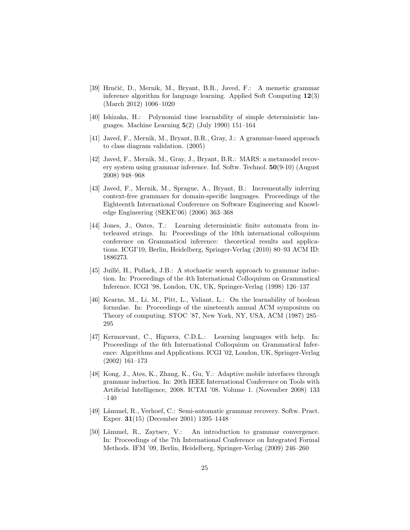- [39] Hrnčič, D., Mernik, M., Bryant, B.R., Javed, F.: A memetic grammar inference algorithm for language learning. Applied Soft Computing 12(3) (March 2012) 1006–1020
- [40] Ishizaka, H.: Polynomial time learnability of simple deterministic languages. Machine Learning  $5(2)$  (July 1990) 151–164
- [41] Javed, F., Mernik, M., Bryant, B.R., Gray, J.: A grammar-based approach to class diagram validation. (2005)
- [42] Javed, F., Mernik, M., Gray, J., Bryant, B.R.: MARS: a metamodel recovery system using grammar inference. Inf. Softw. Technol. 50(9-10) (August 2008) 948–968
- [43] Javed, F., Mernik, M., Sprague, A., Bryant, B.: Incrementally inferring context-free grammars for domain-specific languages. Proceedings of the Eighteenth International Conference on Software Engineering and Knowledge Engineering (SEKE'06) (2006) 363–368
- [44] Jones, J., Oates, T.: Learning deterministic finite automata from interleaved strings. In: Proceedings of the 10th international colloquium conference on Grammatical inference: theoretical results and applications. ICGI'10, Berlin, Heidelberg, Springer-Verlag (2010) 80–93 ACM ID: 1886273.
- [45] Juillé, H., Pollack, J.B.: A stochastic search approach to grammar induction. In: Proceedings of the 4th International Colloquium on Grammatical Inference. ICGI '98, London, UK, UK, Springer-Verlag (1998) 126–137
- [46] Kearns, M., Li, M., Pitt, L., Valiant, L.: On the learnability of boolean formulae. In: Proceedings of the nineteenth annual ACM symposium on Theory of computing. STOC '87, New York, NY, USA, ACM (1987) 285– 295
- [47] Kermorvant, C., Higuera, C.D.L.: Learning languages with help. In: Proceedings of the 6th International Colloquium on Grammatical Inference: Algorithms and Applications. ICGI '02, London, UK, Springer-Verlag (2002) 161–173
- [48] Kong, J., Ates, K., Zhang, K., Gu, Y.: Adaptive mobile interfaces through grammar induction. In: 20th IEEE International Conference on Tools with Artificial Intelligence, 2008. ICTAI '08. Volume 1. (November 2008) 133 –140
- [49] Lämmel, R., Verhoef, C.: Semi-automatic grammar recovery. Softw. Pract. Exper. 31(15) (December 2001) 1395–1448
- [50] Lämmel, R., Zaytsev, V.: An introduction to grammar convergence. In: Proceedings of the 7th International Conference on Integrated Formal Methods. IFM '09, Berlin, Heidelberg, Springer-Verlag (2009) 246–260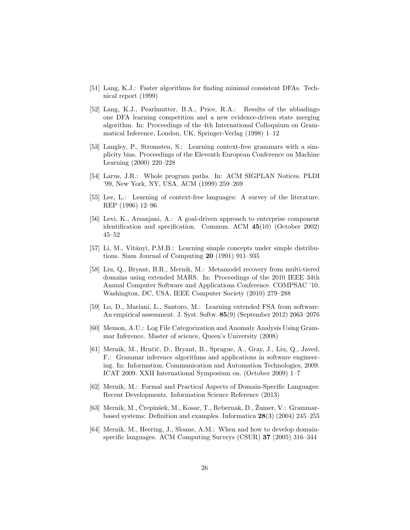- [51] Lang, K.J.: Faster algorithms for finding minimal consistent DFAs. Technical report (1999)
- [52] Lang, K.J., Pearlmutter, B.A., Price, R.A.: Results of the abbadingo one DFA learning competition and a new evidence-driven state merging algorithm. In: Proceedings of the 4th International Colloquium on Grammatical Inference, London, UK, Springer-Verlag (1998) 1–12
- [53] Langley, P., Stromsten, S.: Learning context-free grammars with a simplicity bias. Proceedings of the Eleventh European Conference on Machine Learning (2000) 220–228
- [54] Larus, J.R.: Whole program paths. In: ACM SIGPLAN Notices. PLDI '99, New York, NY, USA, ACM (1999) 259–269
- [55] Lee, L.: Learning of context-free languages: A survey of the literature. REP (1996) 12–96
- [56] Levi, K., Arsanjani, A.: A goal-driven approach to enterprise component identification and specification. Commun. ACM 45(10) (October 2002) 45–52
- [57] Li, M., Vitányi, P.M.B.: Learning simple concepts under simple distributions. Siam Journal of Computing 20 (1991) 911–935
- [58] Liu, Q., Bryant, B.R., Mernik, M.: Metamodel recovery from multi-tiered domains using extended MARS. In: Proceedings of the 2010 IEEE 34th Annual Computer Software and Applications Conference. COMPSAC '10, Washington, DC, USA, IEEE Computer Society (2010) 279–288
- [59] Lo, D., Mariani, L., Santoro, M.: Learning extended FSA from software: An empirical assessment. J. Syst. Softw. 85(9) (September 2012) 2063–2076
- [60] Memon, A.U.: Log File Categorization and Anomaly Analysis Using Grammar Inference. Master of science, Queen's University (2008)
- [61] Mernik, M., Hrnčič, D., Bryant, B., Sprague, A., Gray, J., Liu, Q., Javed, F.: Grammar inference algorithms and applications in software engineering. In: Information, Communication and Automation Technologies, 2009. ICAT 2009. XXII International Symposium on. (October 2009) 1–7
- [62] Mernik, M.: Formal and Practical Aspects of Domain-Specific Languages: Recent Developments. Information Science Reference (2013)
- $[63]$  Mernik, M., Črepinšek, M., Kosar, T., Rebernak, D., Žumer, V.: Grammarbased systems: Definition and examples. Informatica 28(3) (2004) 245–255
- [64] Mernik, M., Heering, J., Sloane, A.M.: When and how to develop domainspecific languages. ACM Computing Surveys (CSUR) 37 (2005) 316–344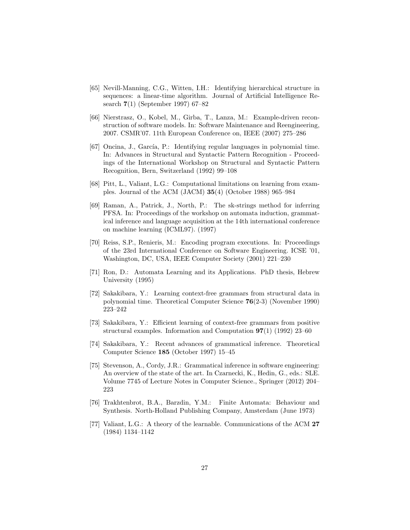- [65] Nevill-Manning, C.G., Witten, I.H.: Identifying hierarchical structure in sequences: a linear-time algorithm. Journal of Artificial Intelligence Research 7(1) (September 1997) 67–82
- [66] Nierstrasz, O., Kobel, M., Girba, T., Lanza, M.: Example-driven reconstruction of software models. In: Software Maintenance and Reengineering, 2007. CSMR'07. 11th European Conference on, IEEE (2007) 275–286
- [67] Oncina, J., García, P.: Identifying regular languages in polynomial time. In: Advances in Structural and Syntactic Pattern Recognition - Proceedings of the International Workshop on Structural and Syntactic Pattern Recognition, Bern, Switzerland (1992) 99–108
- [68] Pitt, L., Valiant, L.G.: Computational limitations on learning from examples. Journal of the ACM (JACM) 35(4) (October 1988) 965–984
- [69] Raman, A., Patrick, J., North, P.: The sk-strings method for inferring PFSA. In: Proceedings of the workshop on automata induction, grammatical inference and language acquisition at the 14th international conference on machine learning (ICML97). (1997)
- [70] Reiss, S.P., Renieris, M.: Encoding program executions. In: Proceedings of the 23rd International Conference on Software Engineering. ICSE '01, Washington, DC, USA, IEEE Computer Society (2001) 221–230
- [71] Ron, D.: Automata Learning and its Applications. PhD thesis, Hebrew University (1995)
- [72] Sakakibara, Y.: Learning context-free grammars from structural data in polynomial time. Theoretical Computer Science 76(2-3) (November 1990) 223–242
- [73] Sakakibara, Y.: Efficient learning of context-free grammars from positive structural examples. Information and Computation 97(1) (1992) 23–60
- [74] Sakakibara, Y.: Recent advances of grammatical inference. Theoretical Computer Science 185 (October 1997) 15–45
- [75] Stevenson, A., Cordy, J.R.: Grammatical inference in software engineering: An overview of the state of the art. In Czarnecki, K., Hedin, G., eds.: SLE. Volume 7745 of Lecture Notes in Computer Science., Springer (2012) 204– 223
- [76] Trakhtenbrot, B.A., Barzdin, Y.M.: Finite Automata: Behaviour and Synthesis. North-Holland Publishing Company, Amsterdam (June 1973)
- [77] Valiant, L.G.: A theory of the learnable. Communications of the ACM 27 (1984) 1134–1142